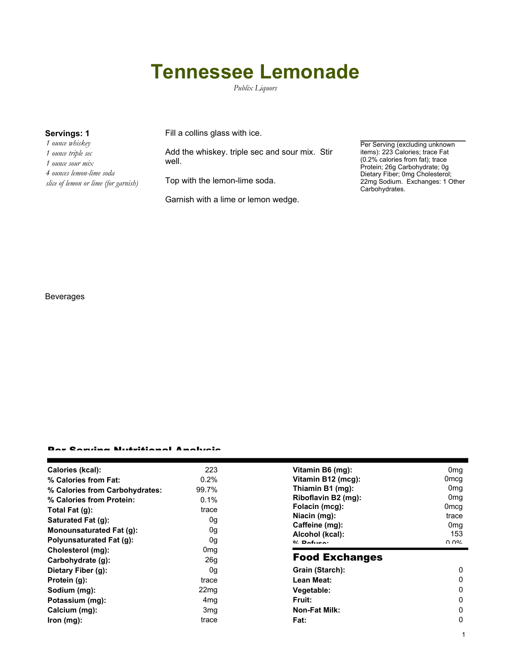## **Tennessee Lemonade**

*Publix Liquors*

| Servings: 1 |                                      |  |  |  |
|-------------|--------------------------------------|--|--|--|
|             | 1 ounce whiskey                      |  |  |  |
|             | 1 ounce triple sec                   |  |  |  |
|             | 1 ounce sour mix                     |  |  |  |
|             | 4 ounces lemon-lime soda             |  |  |  |
|             | slice of lemon or lime (for garnish) |  |  |  |

Fill a collins glass with ice.

Add the whiskey. triple sec and sour mix. Stir well.

Top with the lemon-lime soda.

Garnish with a lime or lemon wedge.

Per Serving (excluding unknown items): 223 Calories; trace Fat (0.2% calories from fat); trace Protein; 26g Carbohydrate; 0g Dietary Fiber; 0mg Cholesterol; 22mg Sodium. Exchanges: 1 Other Carbohydrates.

1

٠

## Beverages

## Per Serving Nutritional Analysis

| Calories (kcal):                | 223             | Vitamin B6 (mg):                   | 0 <sub>mg</sub>  |
|---------------------------------|-----------------|------------------------------------|------------------|
| % Calories from Fat:            | 0.2%            | Vitamin B12 (mcg):                 | 0 <sub>mcg</sub> |
| % Calories from Carbohydrates:  | 99.7%           | Thiamin B1 (mg):                   | 0 <sub>mg</sub>  |
| % Calories from Protein:        | 0.1%            | Riboflavin B2 (mg):                | 0 <sub>mg</sub>  |
| Total Fat $(g)$ :               | trace           | Folacin (mcg):                     | 0 <sub>mcg</sub> |
| <b>Saturated Fat (g):</b>       | 0g              | Niacin (mg):                       | trace            |
| Monounsaturated Fat (g):        | 0g              | Caffeine (mg):                     | 0 <sub>mg</sub>  |
| <b>Polyunsaturated Fat (g):</b> | 0g              | Alcohol (kcal):<br>$0/2$ Dofition: | 153<br>በ በ%      |
| Cholesterol (mg):               | 0mg             |                                    |                  |
| Carbohydrate (g):               | 26 <sub>g</sub> | <b>Food Exchanges</b>              |                  |
| Dietary Fiber (g):              | 0g              | Grain (Starch):                    | 0                |
| Protein (g):                    | trace           | Lean Meat:                         | 0                |
| Sodium (mg):                    | 22mg            | Vegetable:                         | 0                |
| Potassium (mg):                 | 4mg             | Fruit:                             | 0                |
| Calcium (mg):                   | 3 <sub>mg</sub> | <b>Non-Fat Milk:</b>               | 0                |
| lron (mg):                      | trace           | Fat:                               | 0                |
|                                 |                 |                                    |                  |